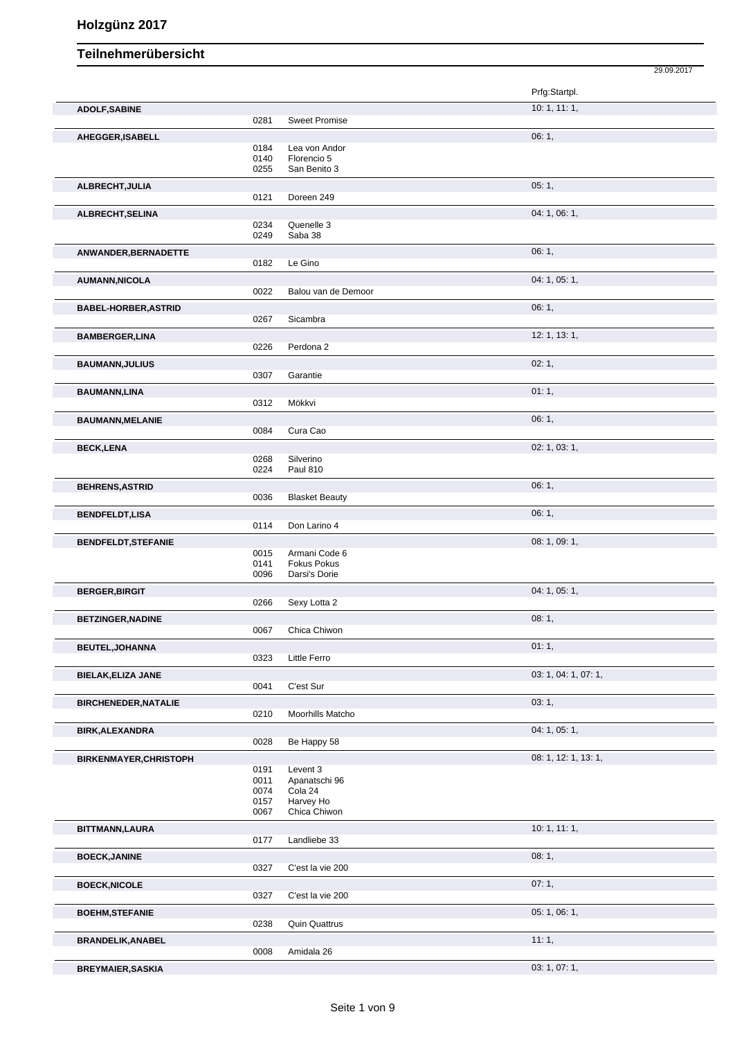|                               |              |                                     | 29.09.2017           |
|-------------------------------|--------------|-------------------------------------|----------------------|
|                               |              |                                     | Prfg:Startpl.        |
| <b>ADOLF, SABINE</b>          |              |                                     | 10: 1, 11: 1,        |
|                               | 0281         | <b>Sweet Promise</b>                |                      |
| AHEGGER, ISABELL              | 0184         | Lea von Andor                       | 06:1,                |
|                               | 0140         | Florencio 5                         |                      |
|                               | 0255         | San Benito 3                        |                      |
| ALBRECHT, JULIA               | 0121         | Doreen 249                          | 05:1,                |
| ALBRECHT, SELINA              |              |                                     | 04: 1, 06: 1,        |
|                               | 0234         | Quenelle 3                          |                      |
|                               | 0249         | Saba 38                             |                      |
| ANWANDER, BERNADETTE          | 0182         | Le Gino                             | 06:1,                |
|                               |              |                                     |                      |
| <b>AUMANN, NICOLA</b>         | 0022         | Balou van de Demoor                 | 04: 1, 05: 1,        |
| <b>BABEL-HORBER, ASTRID</b>   |              |                                     | 06:1,                |
|                               | 0267         | Sicambra                            |                      |
| <b>BAMBERGER,LINA</b>         |              |                                     | 12: 1, 13: 1,        |
|                               | 0226         | Perdona 2                           |                      |
| <b>BAUMANN, JULIUS</b>        |              |                                     | 02:1,                |
|                               | 0307         | Garantie                            |                      |
| <b>BAUMANN,LINA</b>           | 0312         | Mökkvi                              | 01:1,                |
| <b>BAUMANN, MELANIE</b>       |              |                                     | 06:1,                |
|                               | 0084         | Cura Cao                            |                      |
| <b>BECK,LENA</b>              |              |                                     | 02: 1, 03: 1,        |
|                               | 0268<br>0224 | Silverino<br><b>Paul 810</b>        |                      |
|                               |              |                                     |                      |
| <b>BEHRENS, ASTRID</b>        | 0036         | <b>Blasket Beauty</b>               | 06:1,                |
| <b>BENDFELDT,LISA</b>         |              |                                     | 06:1,                |
|                               | 0114         | Don Larino 4                        |                      |
| <b>BENDFELDT, STEFANIE</b>    |              |                                     | 08: 1, 09: 1,        |
|                               | 0015<br>0141 | Armani Code 6<br><b>Fokus Pokus</b> |                      |
|                               | 0096         | Darsi's Dorie                       |                      |
| <b>BERGER, BIRGIT</b>         |              |                                     | 04: 1, 05: 1,        |
|                               | 0266         | Sexy Lotta 2                        |                      |
| <b>BETZINGER, NADINE</b>      |              |                                     | 08:1,                |
|                               | 0067         | Chica Chiwon                        |                      |
| <b>BEUTEL, JOHANNA</b>        | 0323         | Little Ferro                        | 01:1,                |
| <b>BIELAK, ELIZA JANE</b>     |              |                                     | 03: 1, 04: 1, 07: 1, |
|                               | 0041         | C'est Sur                           |                      |
| <b>BIRCHENEDER, NATALIE</b>   |              |                                     | 03:1,                |
|                               | 0210         | Moorhills Matcho                    |                      |
| <b>BIRK, ALEXANDRA</b>        |              |                                     | 04: 1, 05: 1,        |
|                               | 0028         | Be Happy 58                         |                      |
| <b>BIRKENMAYER, CHRISTOPH</b> | 0191         | Levent 3                            | 08: 1, 12: 1, 13: 1, |
|                               | 0011         | Apanatschi 96                       |                      |
|                               | 0074         | Cola 24<br>Harvey Ho                |                      |
|                               | 0157<br>0067 | Chica Chiwon                        |                      |
| BITTMANN, LAURA               |              |                                     | 10:1, 11:1,          |
|                               | 0177         | Landliebe 33                        |                      |
| <b>BOECK, JANINE</b>          |              |                                     | 08:1,                |
|                               | 0327         | C'est la vie 200                    |                      |
| <b>BOECK, NICOLE</b>          |              |                                     | 07:1,                |
|                               | 0327         | C'est la vie 200                    |                      |
| <b>BOEHM, STEFANIE</b>        | 0238         | <b>Quin Quattrus</b>                | 05: 1, 06: 1,        |
| <b>BRANDELIK, ANABEL</b>      |              |                                     | 11:1,                |
|                               | 0008         | Amidala 26                          |                      |
| <b>BREYMAIER, SASKIA</b>      |              |                                     | 03: 1, 07: 1,        |
|                               |              |                                     |                      |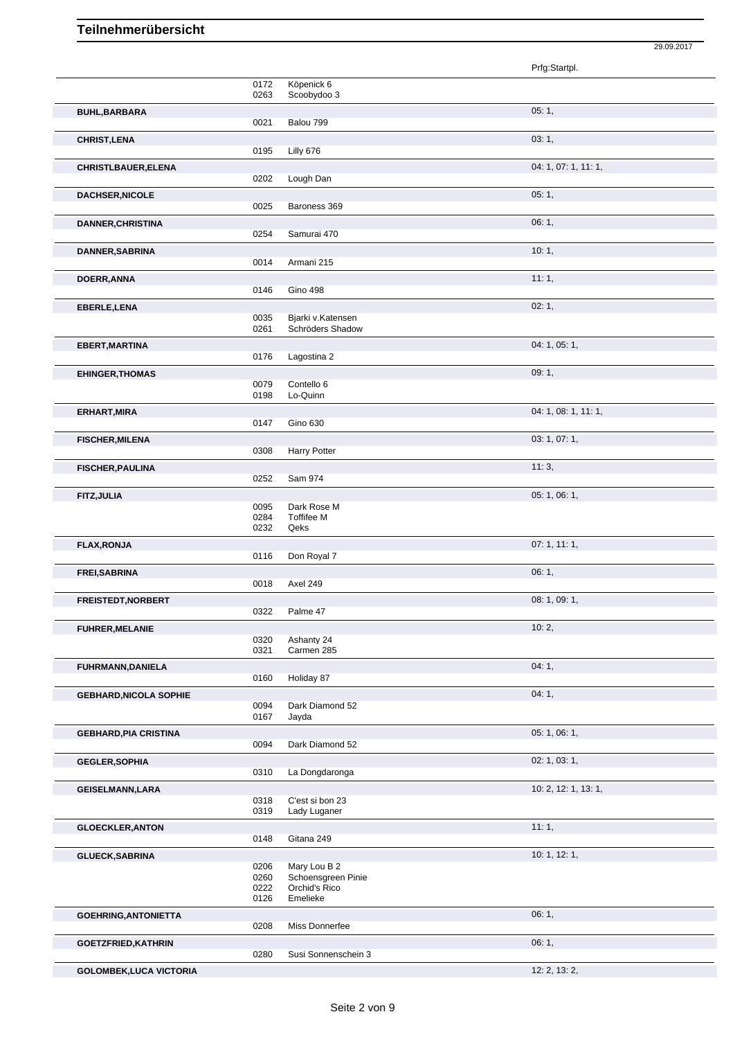|                                |              |                                    | 29.09.2017           |
|--------------------------------|--------------|------------------------------------|----------------------|
|                                |              |                                    | Prfg:Startpl.        |
|                                | 0172         | Köpenick 6                         |                      |
|                                | 0263         | Scoobydoo 3                        |                      |
| <b>BUHL, BARBARA</b>           | 0021         | Balou 799                          | 05:1,                |
| <b>CHRIST, LENA</b>            |              |                                    | 03:1,                |
|                                | 0195         | Lilly 676                          |                      |
| <b>CHRISTLBAUER, ELENA</b>     | 0202         | Lough Dan                          | 04: 1, 07: 1, 11: 1, |
| <b>DACHSER, NICOLE</b>         |              |                                    | 05:1,                |
|                                | 0025         | Baroness 369                       |                      |
| <b>DANNER, CHRISTINA</b>       |              |                                    | 06:1,                |
|                                | 0254         | Samurai 470                        |                      |
| DANNER, SABRINA                | 0014         | Armani 215                         | 10:1,                |
| DOERR, ANNA                    |              |                                    | 11:1,                |
|                                | 0146         | <b>Gino 498</b>                    |                      |
| EBERLE, LENA                   | 0035         | Bjarki v.Katensen                  | 02:1,                |
|                                | 0261         | Schröders Shadow                   |                      |
| EBERT, MARTINA                 |              |                                    | 04: 1, 05: 1,        |
|                                | 0176         | Lagostina 2                        | 09:1,                |
| <b>EHINGER, THOMAS</b>         | 0079         | Contello 6                         |                      |
|                                | 0198         | Lo-Quinn                           |                      |
| ERHART, MIRA                   | 0147         | Gino 630                           | 04: 1, 08: 1, 11: 1, |
| <b>FISCHER, MILENA</b>         |              |                                    | 03: 1, 07: 1,        |
|                                | 0308         | <b>Harry Potter</b>                |                      |
| <b>FISCHER, PAULINA</b>        |              |                                    | 11:3,                |
|                                | 0252         | Sam 974                            | 05: 1, 06: 1,        |
| FITZ, JULIA                    | 0095         | Dark Rose M                        |                      |
|                                | 0284<br>0232 | <b>Toffifee M</b><br>Qeks          |                      |
| <b>FLAX, RONJA</b>             |              |                                    | 07: 1, 11: 1,        |
|                                | 0116         | Don Royal 7                        |                      |
| FREI, SABRINA                  | 0018         | Axel 249                           | 06:1,                |
| <b>FREISTEDT, NORBERT</b>      |              |                                    | 08: 1, 09: 1,        |
|                                | 0322         | Palme 47                           |                      |
| <b>FUHRER, MELANIE</b>         |              |                                    | 10:2,                |
|                                | 0320<br>0321 | Ashanty 24<br>Carmen 285           |                      |
| FUHRMANN, DANIELA              |              |                                    | 04:1,                |
|                                | 0160         | Holiday 87                         |                      |
| <b>GEBHARD, NICOLA SOPHIE</b>  | 0094         | Dark Diamond 52                    | 04:1,                |
|                                | 0167         | Jayda                              |                      |
| <b>GEBHARD, PIA CRISTINA</b>   |              |                                    | 05: 1, 06: 1,        |
|                                | 0094         | Dark Diamond 52                    |                      |
| <b>GEGLER, SOPHIA</b>          | 0310         | La Dongdaronga                     | 02: 1, 03: 1,        |
| <b>GEISELMANN,LARA</b>         |              |                                    | 10: 2, 12: 1, 13: 1, |
|                                | 0318<br>0319 | C'est si bon 23<br>Lady Luganer    |                      |
| <b>GLOECKLER, ANTON</b>        |              |                                    | 11:1,                |
|                                | 0148         | Gitana 249                         |                      |
| <b>GLUECK, SABRINA</b>         |              |                                    | 10: 1, 12: 1,        |
|                                | 0206<br>0260 | Mary Lou B 2<br>Schoensgreen Pinie |                      |
|                                | 0222<br>0126 | Orchid's Rico<br>Emelieke          |                      |
| <b>GOEHRING, ANTONIETTA</b>    |              |                                    | 06:1,                |
|                                | 0208         | Miss Donnerfee                     |                      |
| <b>GOETZFRIED, KATHRIN</b>     |              |                                    | 06:1,                |
|                                | 0280         | Susi Sonnenschein 3                |                      |
| <b>GOLOMBEK, LUCA VICTORIA</b> |              |                                    | 12: 2, 13: 2,        |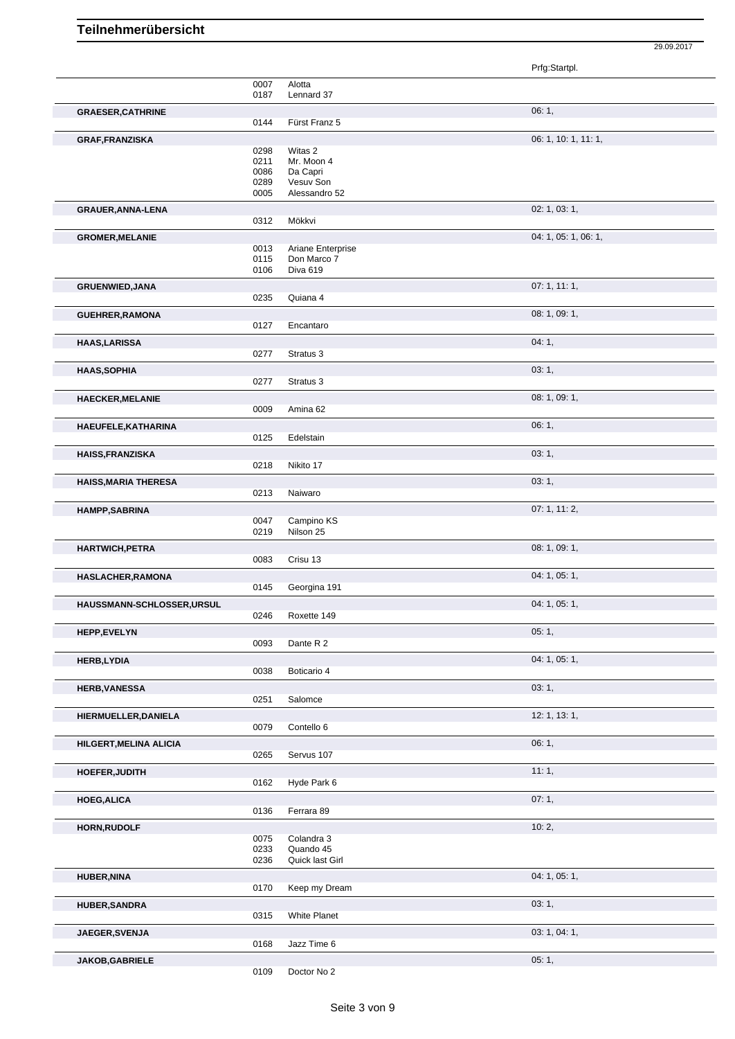29.09.2017

|                             |              |                                  | Prfg:Startpl.        |
|-----------------------------|--------------|----------------------------------|----------------------|
|                             | 0007         | Alotta                           |                      |
|                             | 0187         | Lennard 37                       |                      |
| <b>GRAESER, CATHRINE</b>    | 0144         | Fürst Franz 5                    | 06:1,                |
| <b>GRAF, FRANZISKA</b>      |              |                                  | 06: 1, 10: 1, 11: 1, |
|                             | 0298         | Witas 2                          |                      |
|                             | 0211         | Mr. Moon 4                       |                      |
|                             | 0086<br>0289 | Da Capri<br>Vesuv Son            |                      |
|                             | 0005         | Alessandro 52                    |                      |
| GRAUER, ANNA-LENA           |              |                                  | 02: 1, 03: 1,        |
|                             | 0312         | Mökkvi                           |                      |
| <b>GROMER, MELANIE</b>      |              |                                  | 04: 1, 05: 1, 06: 1, |
|                             | 0013<br>0115 | Ariane Enterprise<br>Don Marco 7 |                      |
|                             | 0106         | Diva 619                         |                      |
| <b>GRUENWIED, JANA</b>      |              |                                  | 07:1, 11:1,          |
|                             | 0235         | Quiana 4                         |                      |
| <b>GUEHRER, RAMONA</b>      |              |                                  | 08: 1, 09: 1,        |
|                             | 0127         | Encantaro                        |                      |
| <b>HAAS,LARISSA</b>         | 0277         | Stratus 3                        | 04:1,                |
| <b>HAAS, SOPHIA</b>         |              |                                  | 03:1,                |
|                             | 0277         | Stratus 3                        |                      |
| <b>HAECKER, MELANIE</b>     |              |                                  | 08: 1, 09: 1,        |
|                             | 0009         | Amina 62                         |                      |
| HAEUFELE, KATHARINA         |              |                                  | 06: 1,               |
|                             | 0125         | Edelstain                        |                      |
| <b>HAISS, FRANZISKA</b>     |              |                                  | 03:1,                |
|                             | 0218         | Nikito 17                        |                      |
| <b>HAISS, MARIA THERESA</b> | 0213         | Naiwaro                          | 03: 1,               |
| <b>HAMPP,SABRINA</b>        |              |                                  | 07: 1, 11: 2,        |
|                             | 0047         | Campino KS                       |                      |
|                             | 0219         | Nilson 25                        |                      |
| HARTWICH, PETRA             |              |                                  | 08: 1, 09: 1,        |
|                             | 0083         | Crisu 13                         |                      |
| HASLACHER, RAMONA           | 0145         | Georgina 191                     | 04: 1, 05: 1,        |
| HAUSSMANN-SCHLOSSER, URSUL  |              |                                  | 04: 1, 05: 1,        |
|                             | 0246         | Roxette 149                      |                      |
| HEPP,EVELYN                 |              |                                  | 05:1,                |
|                             | 0093         | Dante R 2                        |                      |
| <b>HERB,LYDIA</b>           | 0038         |                                  | 04: 1, 05: 1,        |
|                             |              | Boticario 4                      |                      |
| <b>HERB, VANESSA</b>        | 0251         | Salomce                          | 03:1,                |
| HIERMUELLER, DANIELA        |              |                                  | 12: 1, 13: 1,        |
|                             | 0079         | Contello 6                       |                      |
| HILGERT, MELINA ALICIA      |              |                                  | 06:1,                |
|                             | 0265         | Servus 107                       |                      |
| HOEFER, JUDITH              |              |                                  | 11:1,                |
|                             | 0162         | Hyde Park 6                      |                      |
| <b>HOEG, ALICA</b>          | 0136         | Ferrara 89                       | 07:1,                |
|                             |              |                                  | 10:2,                |
| <b>HORN, RUDOLF</b>         | 0075         | Colandra 3                       |                      |
|                             | 0233         | Quando 45                        |                      |
|                             | 0236         | Quick last Girl                  |                      |
| <b>HUBER, NINA</b>          | 0170         | Keep my Dream                    | 04: 1, 05: 1,        |
| <b>HUBER, SANDRA</b>        |              |                                  | 03:1,                |
|                             | 0315         | <b>White Planet</b>              |                      |
| JAEGER, SVENJA              |              |                                  | 03: 1, 04: 1,        |
|                             | 0168         | Jazz Time 6                      |                      |
| JAKOB, GABRIELE             |              |                                  | 05:1,                |
|                             | 0109         | Doctor No 2                      |                      |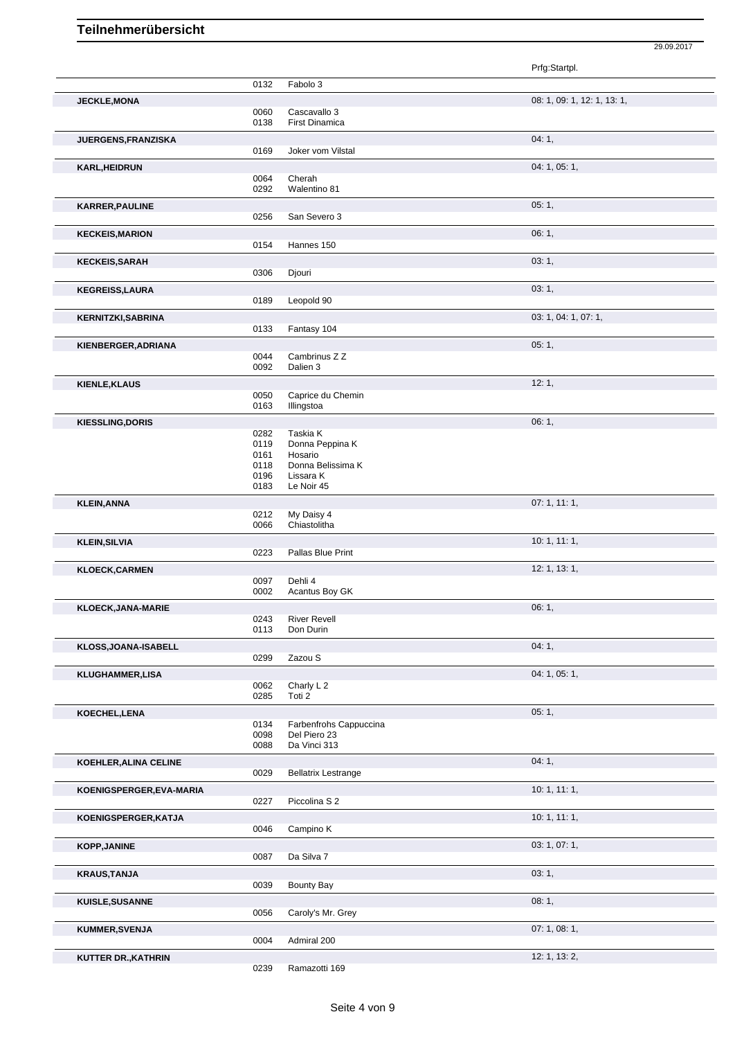|                            |              |                                        | Prfg:Startpl.               |
|----------------------------|--------------|----------------------------------------|-----------------------------|
|                            | 0132         | Fabolo 3                               |                             |
| JECKLE, MONA               |              |                                        | 08: 1, 09: 1, 12: 1, 13: 1, |
|                            | 0060         | Cascavallo 3                           |                             |
|                            | 0138         | <b>First Dinamica</b>                  |                             |
| JUERGENS, FRANZISKA        |              |                                        | 04:1,                       |
|                            | 0169         | Joker vom Vilstal                      |                             |
| <b>KARL, HEIDRUN</b>       |              |                                        | 04: 1, 05: 1,               |
|                            | 0064         | Cherah                                 |                             |
|                            | 0292         | Walentino 81                           |                             |
| <b>KARRER, PAULINE</b>     |              |                                        | 05:1,                       |
|                            | 0256         | San Severo 3                           |                             |
| <b>KECKEIS, MARION</b>     |              |                                        | 06:1,                       |
|                            | 0154         | Hannes 150                             |                             |
| <b>KECKEIS, SARAH</b>      |              |                                        | 03:1,                       |
|                            | 0306         | Djouri                                 |                             |
| <b>KEGREISS, LAURA</b>     |              |                                        | 03:1,                       |
|                            | 0189         | Leopold 90                             |                             |
|                            |              |                                        | 03: 1, 04: 1, 07: 1,        |
| <b>KERNITZKI, SABRINA</b>  | 0133         | Fantasy 104                            |                             |
|                            |              |                                        |                             |
| KIENBERGER, ADRIANA        |              | Cambrinus Z Z                          | 05:1,                       |
|                            | 0044<br>0092 | Dalien 3                               |                             |
|                            |              |                                        |                             |
| <b>KIENLE, KLAUS</b>       | 0050         | Caprice du Chemin                      | 12:1,                       |
|                            | 0163         | Illingstoa                             |                             |
|                            |              |                                        |                             |
| <b>KIESSLING, DORIS</b>    | 0282         | Taskia K                               | 06:1,                       |
|                            | 0119         | Donna Peppina K                        |                             |
|                            | 0161         | Hosario                                |                             |
|                            | 0118         | Donna Belissima K                      |                             |
|                            | 0196         | Lissara K                              |                             |
|                            | 0183         | Le Noir 45                             |                             |
| <b>KLEIN, ANNA</b>         |              |                                        | 07: 1, 11: 1,               |
|                            | 0212         | My Daisy 4                             |                             |
|                            | 0066         | Chiastolitha                           |                             |
| <b>KLEIN, SILVIA</b>       |              |                                        | 10:1, 11:1,                 |
|                            | 0223         | Pallas Blue Print                      |                             |
| <b>KLOECK, CARMEN</b>      |              |                                        | 12: 1, 13: 1,               |
|                            | 0097         | Dehli 4                                |                             |
|                            | 0002         | Acantus Boy GK                         |                             |
| KLOECK, JANA-MARIE         |              |                                        | 06:1,                       |
|                            | 0243<br>0113 | <b>River Revell</b><br>Don Durin       |                             |
|                            |              |                                        |                             |
| KLOSS, JOANA-ISABELL       |              |                                        | 04:1,                       |
|                            | 0299         | Zazou S                                |                             |
| KLUGHAMMER,LISA            |              |                                        | 04: 1, 05: 1,               |
|                            | 0062<br>0285 | Charly L <sub>2</sub><br>Toti 2        |                             |
|                            |              |                                        |                             |
| KOECHEL, LENA              |              |                                        | 05:1,                       |
|                            | 0134<br>0098 | Farbenfrohs Cappuccina<br>Del Piero 23 |                             |
|                            | 0088         | Da Vinci 313                           |                             |
| KOEHLER, ALINA CELINE      |              |                                        | 04:1,                       |
|                            | 0029         | <b>Bellatrix Lestrange</b>             |                             |
|                            |              |                                        |                             |
| KOENIGSPERGER, EVA-MARIA   | 0227         | Piccolina S 2                          | 10:1, 11:1,                 |
|                            |              |                                        |                             |
| KOENIGSPERGER, KATJA       |              |                                        | 10:1, 11:1,                 |
|                            | 0046         | Campino K                              |                             |
| <b>KOPP, JANINE</b>        |              |                                        | 03: 1, 07: 1,               |
|                            | 0087         | Da Silva 7                             |                             |
| <b>KRAUS, TANJA</b>        |              |                                        | 03:1,                       |
|                            | 0039         | Bounty Bay                             |                             |
| KUISLE, SUSANNE            |              |                                        | 08:1,                       |
|                            | 0056         | Caroly's Mr. Grey                      |                             |
| KUMMER, SVENJA             |              |                                        | 07: 1, 08: 1,               |
|                            | 0004         | Admiral 200                            |                             |
| <b>KUTTER DR., KATHRIN</b> |              |                                        | 12: 1, 13: 2,               |
|                            | 0239         | Ramazotti 169                          |                             |

29.09.2017

Ramazotti 169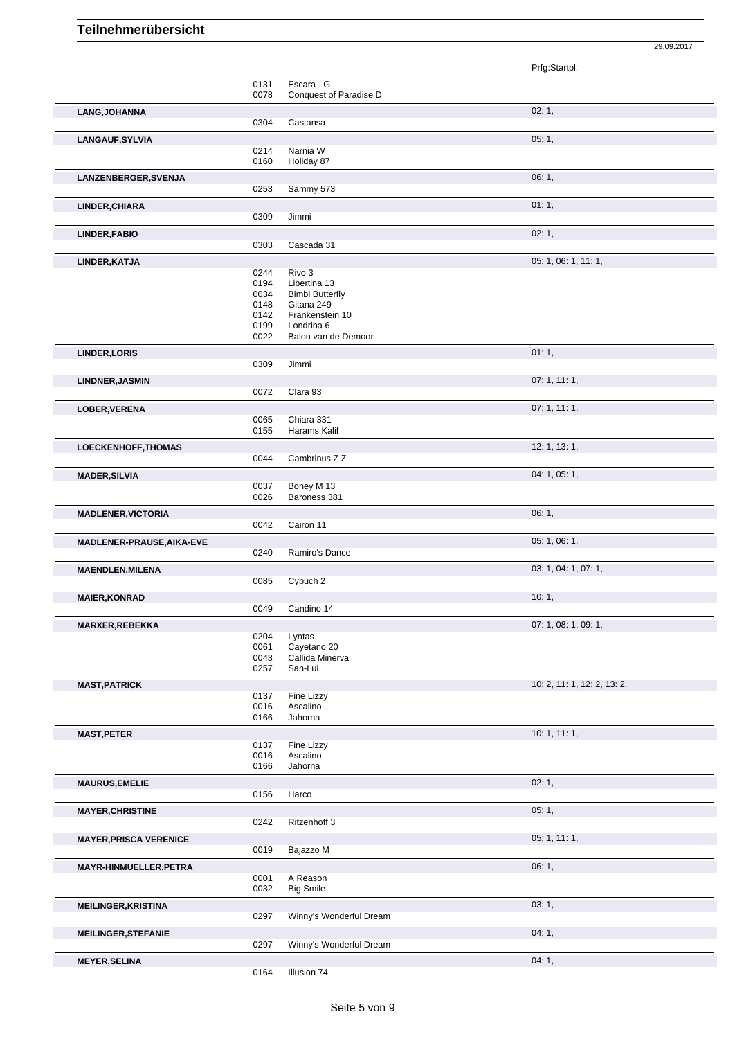|                               |              |                                        | Prfg:Startpl.               |
|-------------------------------|--------------|----------------------------------------|-----------------------------|
|                               | 0131<br>0078 | Escara - G<br>Conquest of Paradise D   |                             |
| LANG, JOHANNA                 |              |                                        | 02:1,                       |
|                               | 0304         | Castansa                               |                             |
| <b>LANGAUF, SYLVIA</b>        |              |                                        | 05:1,                       |
|                               | 0214         | Narnia W                               |                             |
|                               | 0160         | Holiday 87                             |                             |
| LANZENBERGER, SVENJA          |              |                                        | 06:1,                       |
|                               | 0253         | Sammy 573                              |                             |
| LINDER, CHIARA                |              |                                        | 01:1,                       |
|                               | 0309         | Jimmi                                  |                             |
| <b>LINDER, FABIO</b>          |              |                                        | 02:1,                       |
|                               | 0303         | Cascada 31                             |                             |
| LINDER, KATJA                 |              |                                        | 05: 1, 06: 1, 11: 1,        |
|                               | 0244         | Rivo 3                                 |                             |
|                               | 0194<br>0034 | Libertina 13<br><b>Bimbi Butterfly</b> |                             |
|                               | 0148         | Gitana 249                             |                             |
|                               | 0142         | Frankenstein 10                        |                             |
|                               | 0199<br>0022 | Londrina 6<br>Balou van de Demoor      |                             |
|                               |              |                                        |                             |
| <b>LINDER, LORIS</b>          | 0309         | Jimmi                                  | 01:1,                       |
|                               |              |                                        |                             |
| <b>LINDNER, JASMIN</b>        | 0072         | Clara 93                               | 07:1, 11:1,                 |
|                               |              |                                        | 07:1, 11:1,                 |
| LOBER, VERENA                 | 0065         | Chiara 331                             |                             |
|                               | 0155         | Harams Kalif                           |                             |
| <b>LOECKENHOFF, THOMAS</b>    |              |                                        | 12: 1, 13: 1,               |
|                               | 0044         | Cambrinus Z Z                          |                             |
| <b>MADER, SILVIA</b>          |              |                                        | 04: 1, 05: 1,               |
|                               | 0037         | Boney M 13                             |                             |
|                               | 0026         | Baroness 381                           |                             |
| <b>MADLENER, VICTORIA</b>     |              |                                        | 06:1,                       |
|                               | 0042         | Cairon 11                              |                             |
| MADLENER-PRAUSE, AIKA-EVE     | 0240         | Ramiro's Dance                         | 05: 1, 06: 1,               |
|                               |              |                                        |                             |
| <b>MAENDLEN, MILENA</b>       | 0085         | Cybuch 2                               | 03: 1, 04: 1, 07: 1,        |
| <b>MAIER, KONRAD</b>          |              |                                        | 10:1,                       |
|                               | 0049         | Candino 14                             |                             |
| <b>MARXER, REBEKKA</b>        |              |                                        | 07: 1, 08: 1, 09: 1,        |
|                               | 0204         | Lyntas                                 |                             |
|                               | 0061         | Cayetano 20                            |                             |
|                               | 0043<br>0257 | Callida Minerva<br>San-Lui             |                             |
|                               |              |                                        |                             |
| <b>MAST, PATRICK</b>          | 0137         | Fine Lizzy                             | 10: 2, 11: 1, 12: 2, 13: 2, |
|                               | 0016         | Ascalino                               |                             |
|                               | 0166         | Jahorna                                |                             |
| <b>MAST, PETER</b>            |              |                                        | 10:1, 11:1,                 |
|                               | 0137         | Fine Lizzy                             |                             |
|                               | 0016<br>0166 | Ascalino<br>Jahorna                    |                             |
|                               |              |                                        |                             |
| <b>MAURUS, EMELIE</b>         | 0156         | Harco                                  | 02:1,                       |
|                               |              |                                        | 05:1,                       |
| <b>MAYER, CHRISTINE</b>       | 0242         | Ritzenhoff 3                           |                             |
|                               |              |                                        | 05: 1, 11: 1,               |
| <b>MAYER, PRISCA VERENICE</b> | 0019         | Bajazzo M                              |                             |
| MAYR-HINMUELLER, PETRA        |              |                                        | 06:1,                       |
|                               | 0001         | A Reason                               |                             |
|                               | 0032         | <b>Big Smile</b>                       |                             |
| <b>MEILINGER, KRISTINA</b>    |              |                                        | 03:1,                       |
|                               | 0297         | Winny's Wonderful Dream                |                             |
| <b>MEILINGER, STEFANIE</b>    |              |                                        | 04:1,                       |
|                               | 0297         | Winny's Wonderful Dream                |                             |
| <b>MEYER, SELINA</b>          |              |                                        | 04:1,                       |

29.09.2017

Illusion 74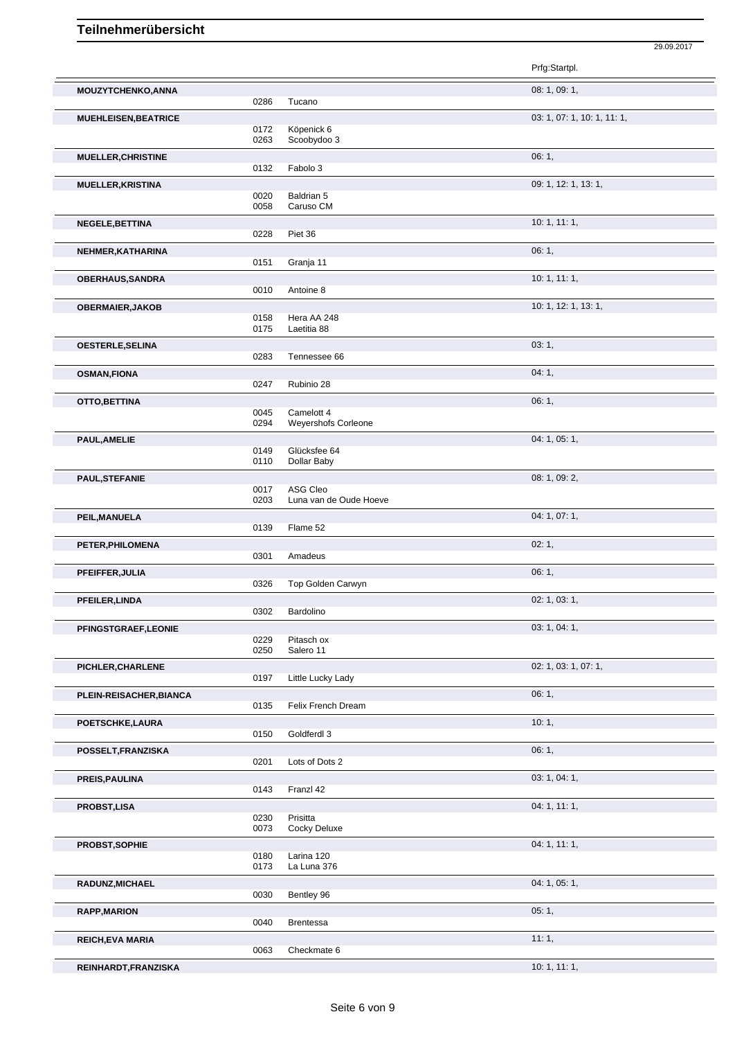|                             |              |                                    | Prfg:Startpl.               |
|-----------------------------|--------------|------------------------------------|-----------------------------|
| MOUZYTCHENKO, ANNA          | 0286         | Tucano                             | 08: 1, 09: 1,               |
| <b>MUEHLEISEN, BEATRICE</b> |              |                                    | 03: 1, 07: 1, 10: 1, 11: 1, |
|                             | 0172<br>0263 | Köpenick 6<br>Scoobydoo 3          |                             |
| <b>MUELLER, CHRISTINE</b>   |              |                                    | 06:1,                       |
|                             | 0132         | Fabolo 3                           |                             |
| <b>MUELLER, KRISTINA</b>    | 0020         | Baldrian 5                         | 09: 1, 12: 1, 13: 1,        |
|                             | 0058         | Caruso CM                          |                             |
| NEGELE, BETTINA             |              |                                    | 10: 1, 11: 1,               |
|                             | 0228         | Piet 36                            |                             |
| NEHMER, KATHARINA           | 0151         | Granja 11                          | 06:1,                       |
| <b>OBERHAUS, SANDRA</b>     |              |                                    | 10:1, 11:1,                 |
|                             | 0010         | Antoine 8                          |                             |
| <b>OBERMAIER, JAKOB</b>     |              |                                    | 10: 1, 12: 1, 13: 1,        |
|                             | 0158<br>0175 | Hera AA 248<br>Laetitia 88         |                             |
| <b>OESTERLE, SELINA</b>     |              |                                    | 03:1,                       |
|                             | 0283         | Tennessee 66                       |                             |
| <b>OSMAN, FIONA</b>         | 0247         |                                    | 04:1,                       |
|                             |              | Rubinio 28                         | 06:1,                       |
| OTTO, BETTINA               | 0045         | Camelott 4                         |                             |
|                             | 0294         | Weyershofs Corleone                |                             |
| PAUL, AMELIE                | 0149         | Glücksfee 64                       | 04: 1, 05: 1,               |
|                             | 0110         | Dollar Baby                        |                             |
| <b>PAUL, STEFANIE</b>       |              |                                    | 08: 1, 09: 2,               |
|                             | 0017<br>0203 | ASG Cleo<br>Luna van de Oude Hoeve |                             |
| PEIL, MANUELA               |              |                                    | 04: 1, 07: 1,               |
|                             | 0139         | Flame 52                           |                             |
| PETER, PHILOMENA            |              |                                    | 02:1,                       |
|                             | 0301         | Amadeus                            | 06:1,                       |
| PFEIFFER, JULIA             | 0326         | Top Golden Carwyn                  |                             |
| <b>PFEILER, LINDA</b>       |              |                                    | 02: 1, 03: 1,               |
|                             | 0302         | Bardolino                          |                             |
| PFINGSTGRAEF, LEONIE        | 0229         | Pitasch ox                         | 03: 1, 04: 1,               |
|                             | 0250         | Salero 11                          |                             |
| PICHLER, CHARLENE           |              |                                    | 02: 1, 03: 1, 07: 1,        |
|                             | 0197         | Little Lucky Lady                  |                             |
| PLEIN-REISACHER, BIANCA     | 0135         | Felix French Dream                 | 06:1,                       |
| POETSCHKE,LAURA             |              |                                    | 10:1,                       |
|                             | 0150         | Goldferdl 3                        |                             |
| POSSELT, FRANZISKA          |              |                                    | 06:1,                       |
|                             | 0201         | Lots of Dots 2                     | 03: 1, 04: 1,               |
| PREIS, PAULINA              | 0143         | Franzl 42                          |                             |
| <b>PROBST,LISA</b>          |              |                                    | 04: 1, 11: 1,               |
|                             | 0230<br>0073 | Prisitta<br>Cocky Deluxe           |                             |
| PROBST, SOPHIE              |              |                                    | 04: 1, 11: 1,               |
|                             | 0180         | Larina 120                         |                             |
|                             | 0173         | La Luna 376                        |                             |
| RADUNZ, MICHAEL             | 0030         | Bentley 96                         | 04: 1, 05: 1,               |
| <b>RAPP, MARION</b>         |              |                                    | 05:1,                       |
|                             | 0040         | <b>Brentessa</b>                   |                             |
| <b>REICH, EVA MARIA</b>     |              |                                    | 11:1,                       |
|                             | 0063         | Checkmate 6                        |                             |

29.09.2017

**REINHARDT,FRANZISKA** 10: 1, 11: 1,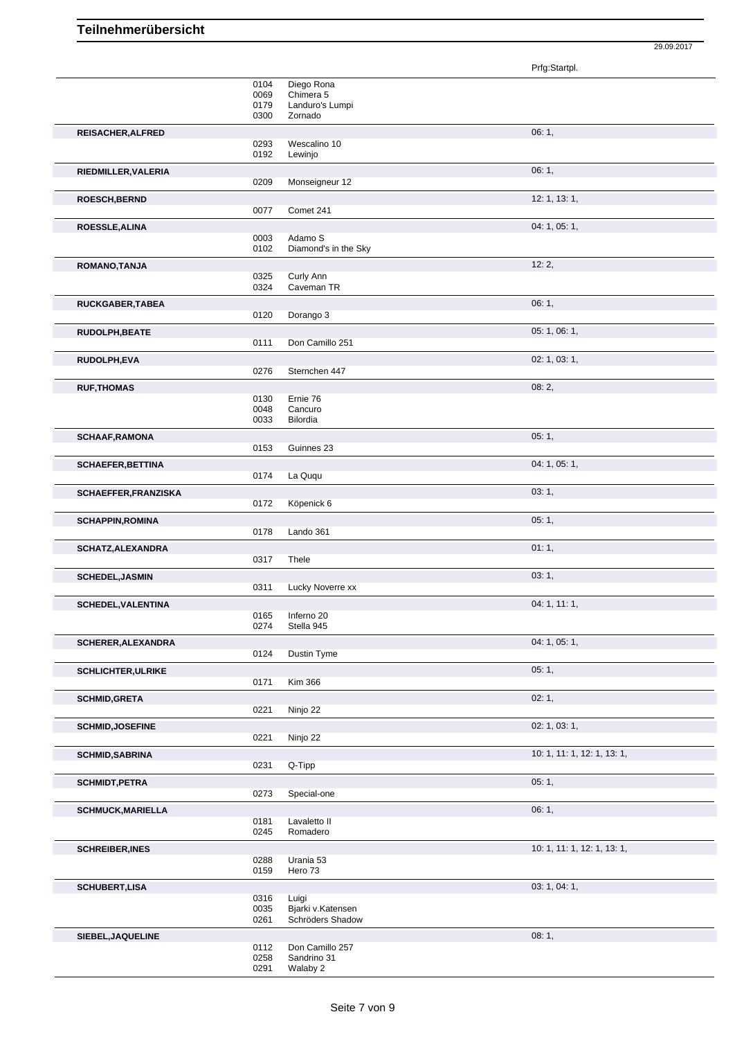|                             |                      |                                                | Prfg:Startpl.               |  |
|-----------------------------|----------------------|------------------------------------------------|-----------------------------|--|
|                             | 0104<br>0069<br>0179 | Diego Rona<br>Chimera 5<br>Landuro's Lumpi     |                             |  |
|                             | 0300                 | Zornado                                        |                             |  |
| REISACHER, ALFRED           | 0293<br>0192         | Wescalino 10<br>Lewinjo                        | 06:1,                       |  |
| RIEDMILLER, VALERIA         | 0209                 | Monseigneur 12                                 | 06: 1,                      |  |
| ROESCH, BERND               | 0077                 | Comet 241                                      | 12: 1, 13: 1,               |  |
|                             |                      |                                                | 04: 1, 05: 1,               |  |
| <b>ROESSLE, ALINA</b>       | 0003<br>0102         | Adamo S<br>Diamond's in the Sky                |                             |  |
| ROMANO, TANJA               |                      |                                                | 12:2,                       |  |
|                             | 0325<br>0324         | Curly Ann<br>Caveman TR                        |                             |  |
| RUCKGABER, TABEA            | 0120                 | Dorango 3                                      | 06:1,                       |  |
| RUDOLPH, BEATE              |                      |                                                | 05: 1, 06: 1,               |  |
|                             | 0111                 | Don Camillo 251                                |                             |  |
| RUDOLPH,EVA                 | 0276                 | Sternchen 447                                  | 02: 1, 03: 1,               |  |
| <b>RUF, THOMAS</b>          |                      |                                                | 08:2,                       |  |
|                             | 0130<br>0048<br>0033 | Ernie 76<br>Cancuro<br><b>Bilordia</b>         |                             |  |
|                             |                      |                                                | 05:1,                       |  |
| <b>SCHAAF, RAMONA</b>       | 0153                 | Guinnes 23                                     |                             |  |
| <b>SCHAEFER, BETTINA</b>    |                      |                                                | 04: 1, 05: 1,               |  |
|                             | 0174                 | La Ququ                                        |                             |  |
| <b>SCHAEFFER, FRANZISKA</b> | 0172                 | Köpenick 6                                     | 03:1,                       |  |
| <b>SCHAPPIN, ROMINA</b>     | 0178                 | Lando 361                                      | 05:1,                       |  |
| SCHATZ, ALEXANDRA           | 0317                 | Thele                                          | 01:1,                       |  |
| <b>SCHEDEL, JASMIN</b>      | 0311                 | Lucky Noverre xx                               | 03:1,                       |  |
| <b>SCHEDEL, VALENTINA</b>   |                      |                                                | 04: 1, 11: 1,               |  |
|                             | 0274                 | 0165 Inferno 20<br>Stella 945                  |                             |  |
| SCHERER, ALEXANDRA          | 0124                 | Dustin Tyme                                    | 04: 1, 05: 1,               |  |
| <b>SCHLICHTER, ULRIKE</b>   |                      |                                                | 05:1,                       |  |
|                             | 0171                 | <b>Kim 366</b>                                 |                             |  |
| <b>SCHMID, GRETA</b>        | 0221                 | Ninjo 22                                       | 02:1,                       |  |
| <b>SCHMID, JOSEFINE</b>     | 0221                 | Ninjo 22                                       | 02: 1, 03: 1,               |  |
| <b>SCHMID, SABRINA</b>      |                      |                                                | 10: 1, 11: 1, 12: 1, 13: 1, |  |
|                             | 0231                 | Q-Tipp                                         |                             |  |
| <b>SCHMIDT, PETRA</b>       | 0273                 | Special-one                                    | 05:1,                       |  |
| <b>SCHMUCK, MARIELLA</b>    |                      |                                                | 06:1,                       |  |
|                             | 0181<br>0245         | Lavaletto II<br>Romadero                       |                             |  |
| <b>SCHREIBER, INES</b>      |                      |                                                | 10: 1, 11: 1, 12: 1, 13: 1, |  |
|                             | 0288<br>0159         | Urania 53<br>Hero 73                           |                             |  |
| <b>SCHUBERT,LISA</b>        |                      |                                                | 03: 1, 04: 1,               |  |
|                             | 0316<br>0035<br>0261 | Luigi<br>Bjarki v.Katensen<br>Schröders Shadow |                             |  |
| SIEBEL, JAQUELINE           |                      |                                                | 08:1,                       |  |
|                             | 0112<br>0258<br>0291 | Don Camillo 257<br>Sandrino 31<br>Walaby 2     |                             |  |

29.09.2017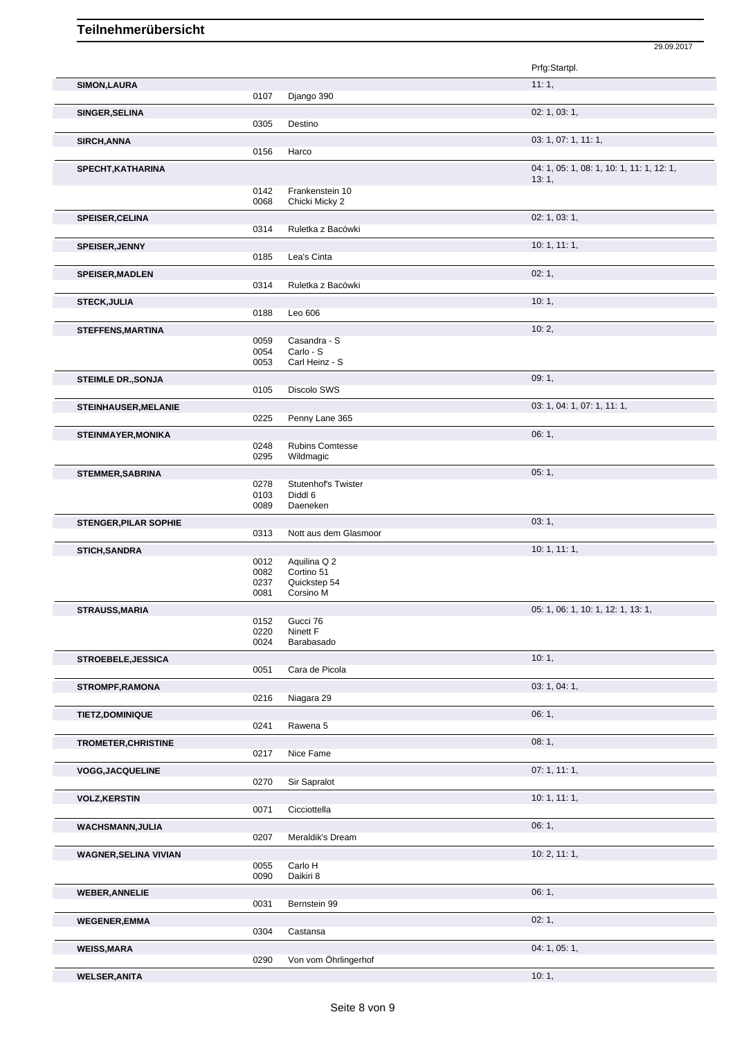|                              |              |                           | Prfg:Startpl.                             |
|------------------------------|--------------|---------------------------|-------------------------------------------|
| <b>SIMON, LAURA</b>          |              |                           | 11:1,                                     |
|                              | 0107         | Django 390                |                                           |
| SINGER, SELINA               |              |                           | 02: 1, 03: 1,                             |
|                              | 0305         | Destino                   |                                           |
| SIRCH, ANNA                  |              |                           | 03: 1, 07: 1, 11: 1,                      |
|                              | 0156         | Harco                     |                                           |
| SPECHT, KATHARINA            |              |                           | 04: 1, 05: 1, 08: 1, 10: 1, 11: 1, 12: 1, |
|                              |              |                           | 13:1,                                     |
|                              | 0142         | Frankenstein 10           |                                           |
|                              | 0068         | Chicki Micky 2            |                                           |
| SPEISER, CELINA              |              |                           | 02: 1, 03: 1,                             |
|                              | 0314         | Ruletka z Bacówki         |                                           |
| SPEISER, JENNY               |              |                           | 10:1, 11:1,                               |
|                              | 0185         | Lea's Cinta               |                                           |
|                              |              |                           | 02:1,                                     |
| <b>SPEISER, MADLEN</b>       | 0314         | Ruletka z Bacówki         |                                           |
|                              |              |                           |                                           |
| <b>STECK, JULIA</b>          | 0188         | Leo 606                   | 10:1,                                     |
|                              |              |                           |                                           |
| <b>STEFFENS, MARTINA</b>     |              |                           | 10:2,                                     |
|                              | 0059<br>0054 | Casandra - S<br>Carlo - S |                                           |
|                              | 0053         | Carl Heinz - S            |                                           |
| <b>STEIMLE DR., SONJA</b>    |              |                           | 09:1,                                     |
|                              | 0105         | Discolo SWS               |                                           |
|                              |              |                           | 03: 1, 04: 1, 07: 1, 11: 1,               |
| <b>STEINHAUSER, MELANIE</b>  | 0225         | Penny Lane 365            |                                           |
|                              |              |                           |                                           |
| <b>STEINMAYER, MONIKA</b>    | 0248         | <b>Rubins Comtesse</b>    | 06:1,                                     |
|                              | 0295         | Wildmagic                 |                                           |
|                              |              |                           |                                           |
| <b>STEMMER, SABRINA</b>      | 0278         | Stutenhof's Twister       | 05:1,                                     |
|                              | 0103         | Diddl 6                   |                                           |
|                              | 0089         | Daeneken                  |                                           |
| <b>STENGER, PILAR SOPHIE</b> |              |                           | 03:1,                                     |
|                              | 0313         | Nott aus dem Glasmoor     |                                           |
| <b>STICH, SANDRA</b>         |              |                           | 10: 1, 11: 1,                             |
|                              | 0012         | Aquilina Q 2              |                                           |
|                              | 0082         | Cortino 51                |                                           |
|                              | 0237<br>0081 | Quickstep 54<br>Corsino M |                                           |
|                              |              |                           |                                           |
| <b>STRAUSS, MARIA</b>        | 0152         | Gucci 76                  | 05: 1, 06: 1, 10: 1, 12: 1, 13: 1,        |
|                              | 0220         | Ninett F                  |                                           |
|                              | 0024         | Barabasado                |                                           |
| STROEBELE, JESSICA           |              |                           | 10:1,                                     |
|                              | 0051         | Cara de Picola            |                                           |
| <b>STROMPF, RAMONA</b>       |              |                           | 03: 1, 04: 1,                             |
|                              | 0216         | Niagara 29                |                                           |
| TIETZ, DOMINIQUE             |              |                           | 06:1,                                     |
|                              | 0241         | Rawena 5                  |                                           |
|                              |              |                           | 08:1,                                     |
| <b>TROMETER, CHRISTINE</b>   | 0217         | Nice Fame                 |                                           |
|                              |              |                           |                                           |
| <b>VOGG, JACQUELINE</b>      | 0270         | Sir Sapralot              | 07:1, 11:1,                               |
|                              |              |                           |                                           |
| <b>VOLZ, KERSTIN</b>         |              |                           | 10: 1, 11: 1,                             |
|                              | 0071         | Cicciottella              |                                           |
| <b>WACHSMANN, JULIA</b>      |              |                           | 06:1,                                     |
|                              | 0207         | Meraldik's Dream          |                                           |
| <b>WAGNER, SELINA VIVIAN</b> |              |                           | 10: 2, 11: 1,                             |
|                              | 0055         | Carlo H                   |                                           |
|                              | 0090         | Daikiri 8                 |                                           |
| <b>WEBER, ANNELIE</b>        |              |                           | 06:1,                                     |
|                              | 0031         | Bernstein 99              |                                           |
| <b>WEGENER,EMMA</b>          |              |                           | 02:1,                                     |
|                              | 0304         | Castansa                  |                                           |
| <b>WEISS, MARA</b>           |              |                           | 04: 1, 05: 1,                             |
|                              | 0290         | Von vom Öhrlingerhof      |                                           |

29.09.2017

Von vom Öhrlingerhof **WELSER,ANITA** 10: 1,